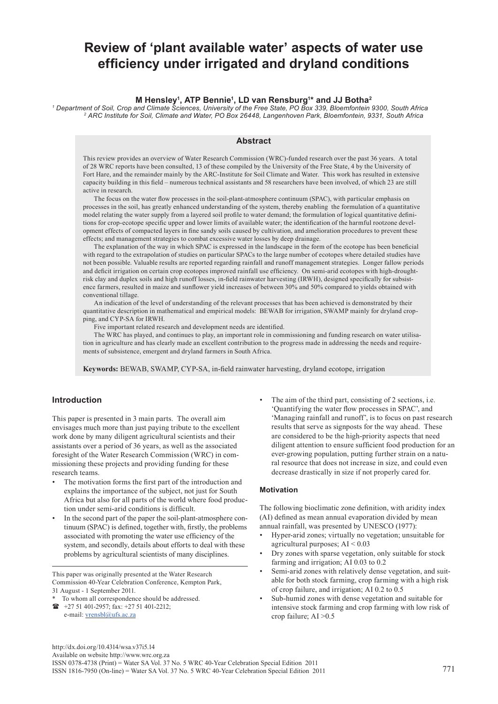# **Review of 'plant available water' aspects of water use efficiency under irrigated and dryland conditions**

### **M Hensley<sup>1</sup> , ATP Bennie1 , LD van Rensburg<sup>1</sup> \* and JJ Botha<sup>2</sup>**

*1 Department of Soil, Crop and Climate Sciences, University of the Free State, PO Box 339, Bloemfontein 9300, South Africa 2 ARC Institute for Soil, Climate and Water, PO Box 26448, Langenhoven Park, Bloemfontein, 9331, South Africa*

## **Abstract**

This review provides an overview of Water Research Commission (WRC)-funded research over the past 36 years. A total of 28 WRC reports have been consulted, 13 of these compiled by the University of the Free State, 4 by the University of Fort Hare, and the remainder mainly by the ARC-Institute for Soil Climate and Water. This work has resulted in extensive capacity building in this field – numerous technical assistants and 58 researchers have been involved, of which 23 are still active in research.

The focus on the water flow processes in the soil-plant-atmosphere continuum (SPAC), with particular emphasis on processes in the soil, has greatly enhanced understanding of the system, thereby enabling the formulation of a quantitative model relating the water supply from a layered soil profile to water demand; the formulation of logical quantitative definitions for crop-ecotope specific upper and lower limits of available water; the identification of the harmful rootzone development effects of compacted layers in fine sandy soils caused by cultivation, and amelioration procedures to prevent these effects; and management strategies to combat excessive water losses by deep drainage.

The explanation of the way in which SPAC is expressed in the landscape in the form of the ecotope has been beneficial with regard to the extrapolation of studies on particular SPACs to the large number of ecotopes where detailed studies have not been possible. Valuable results are reported regarding rainfall and runoff management strategies. Longer fallow periods and deficit irrigation on certain crop ecotopes improved rainfall use efficiency. On semi-arid ecotopes with high-droughtrisk clay and duplex soils and high runoff losses, in-field rainwater harvesting (IRWH), designed specifically for subsistence farmers, resulted in maize and sunflower yield increases of between 30% and 50% compared to yields obtained with conventional tillage.

An indication of the level of understanding of the relevant processes that has been achieved is demonstrated by their quantitative description in mathematical and empirical models: BEWAB for irrigation, SWAMP mainly for dryland cropping, and CYP-SA for IRWH.

Five important related research and development needs are identified.

The WRC has played, and continues to play, an important role in commissioning and funding research on water utilisation in agriculture and has clearly made an excellent contribution to the progress made in addressing the needs and requirements of subsistence, emergent and dryland farmers in South Africa.

**Keywords:** BEWAB, SWAMP, CYP-SA, in-field rainwater harvesting, dryland ecotope, irrigation

# **Introduction**

This paper is presented in 3 main parts. The overall aim envisages much more than just paying tribute to the excellent work done by many diligent agricultural scientists and their assistants over a period of 36 years, as well as the associated foresight of the Water Research Commission (WRC) in commissioning these projects and providing funding for these research teams.

- The motivation forms the first part of the introduction and explains the importance of the subject, not just for South Africa but also for all parts of the world where food production under semi-arid conditions is difficult.
- In the second part of the paper the soil-plant-atmosphere continuum (SPAC) is defined, together with, firstly, the problems associated with promoting the water use efficiency of the system, and secondly, details about efforts to deal with these problems by agricultural scientists of many disciplines.

This paper was originally presented at the Water Research Commission 40-Year Celebration Conference, Kempton Park, 31 August - 1 September 2011.

- To whom all correspondence should be addressed.
- +27 51 401-2957; fax: +27 51 401-2212; e-mail: [vrensbl@ufs.ac.za](mailto:vrensbl@ufs.ac.za)

The aim of the third part, consisting of 2 sections, i.e. 'Quantifying the water flow processes in SPAC', and 'Managing rainfall and runoff', is to focus on past research results that serve as signposts for the way ahead. These are considered to be the high-priority aspects that need diligent attention to ensure sufficient food production for an ever-growing population, putting further strain on a natural resource that does not increase in size, and could even decrease drastically in size if not properly cared for.

### **Motivation**

The following bioclimatic zone definition, with aridity index (AI) defined as mean annual evaporation divided by mean annual rainfall, was presented by UNESCO (1977):

- Hyper-arid zones; virtually no vegetation; unsuitable for agricultural purposes; AI < 0.03
- Dry zones with sparse vegetation, only suitable for stock farming and irrigation; AI 0.03 to 0.2
- Semi-arid zones with relatively dense vegetation, and suitable for both stock farming, crop farming with a high risk of crop failure, and irrigation; AI 0.2 to 0.5
- Sub-humid zones with dense vegetation and suitable for intensive stock farming and crop farming with low risk of crop failure; AI >0.5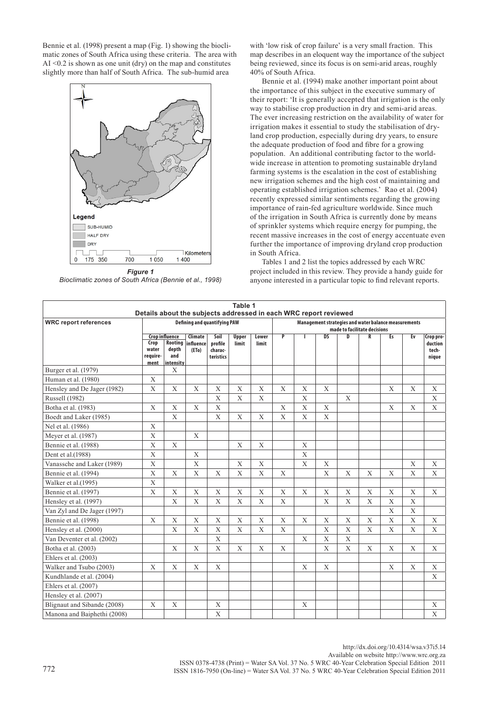Bennie et al. (1998) present a map (Fig. 1) showing the bioclimatic zones of South Africa using these criteria. The area with  $AI < 0.2$  is shown as one unit (dry) on the map and constitutes slightly more than half of South Africa. The sub-humid area



*Figure 1 Bioclimatic zones of South Africa (Bennie et al., 1998)*

with 'low risk of crop failure' is a very small fraction. This map describes in an eloquent way the importance of the subject being reviewed, since its focus is on semi-arid areas, roughly 40% of South Africa.

Bennie et al. (1994) make another important point about the importance of this subject in the executive summary of their report: 'It is generally accepted that irrigation is the only way to stabilise crop production in dry and semi-arid areas. The ever increasing restriction on the availability of water for irrigation makes it essential to study the stabilisation of dryland crop production, especially during dry years, to ensure the adequate production of food and fibre for a growing population. An additional contributing factor to the worldwide increase in attention to promoting sustainable dryland farming systems is the escalation in the cost of establishing new irrigation schemes and the high cost of maintaining and operating established irrigation schemes.' Rao et al. (2004) recently expressed similar sentiments regarding the growing importance of rain-fed agriculture worldwide. Since much of the irrigation in South Africa is currently done by means of sprinkler systems which require energy for pumping, the recent massive increases in the cost of energy accentuate even further the importance of improving dryland crop production in South Africa.

Tables 1 and 2 list the topics addressed by each WRC project included in this review. They provide a handy guide for anyone interested in a particular topic to find relevant reports.

| Table 1<br>Details about the subjects addressed in each WRC report reviewed |                                     |                                                               |                               |                                         |                       |                |                                                                                      |              |              |              |              |              |              |                                        |
|-----------------------------------------------------------------------------|-------------------------------------|---------------------------------------------------------------|-------------------------------|-----------------------------------------|-----------------------|----------------|--------------------------------------------------------------------------------------|--------------|--------------|--------------|--------------|--------------|--------------|----------------------------------------|
| <b>WRC report references</b>                                                | <b>Defining and quantifying PAW</b> |                                                               |                               |                                         |                       |                | Management strategies and water balance measurements<br>made to facilitate decisions |              |              |              |              |              |              |                                        |
|                                                                             | Crop<br>water<br>require-<br>ment   | <b>Crop influence</b><br>Rooting<br>depth<br>and<br>intensity | Climate<br>influence<br>(ETo) | Soil<br>profile<br>charac-<br>teristics | <b>Upper</b><br>limit | Lower<br>limit | P                                                                                    |              | DS           | D            | R            | Es           | Ev           | Crop pro-<br>duction<br>tech-<br>nique |
| Burger et al. (1979)                                                        |                                     | X                                                             |                               |                                         |                       |                |                                                                                      |              |              |              |              |              |              |                                        |
| Human et al. (1980)                                                         | X                                   |                                                               |                               |                                         |                       |                |                                                                                      |              |              |              |              |              |              |                                        |
| Hensley and De Jager (1982)                                                 | $\mathbf{X}$                        | $\mathbf{X}$                                                  | $\mathbf{X}$                  | $\overline{X}$                          | $\mathbf{X}$          | $\mathbf{X}$   | $\mathbf{X}$                                                                         | $\mathbf{X}$ | $\mathbf{X}$ |              |              | $\mathbf{X}$ | $\mathbf{X}$ | $\mathbf{X}$                           |
| <b>Russell</b> (1982)                                                       |                                     |                                                               |                               | $\mathbf X$                             | X                     | $\mathbf X$    |                                                                                      | X            |              | X            |              |              |              | $\mathbf X$                            |
| Botha et al. (1983)                                                         | $\mathbf X$                         | X                                                             | X                             | $\mathbf X$                             |                       |                | X                                                                                    | X            | $\mathbf X$  |              |              | X            | X            | X                                      |
| Boedt and Laker (1985)                                                      |                                     | X                                                             |                               | $\mathbf X$                             | $\mathbf X$           | $\mathbf X$    | $\mathbf{X}$                                                                         | $\mathbf{X}$ | $\mathbf{X}$ |              |              |              |              |                                        |
| Nel et al. (1986)                                                           | X                                   |                                                               |                               |                                         |                       |                |                                                                                      |              |              |              |              |              |              |                                        |
| Meyer et al. (1987)                                                         | $\mathbf X$                         |                                                               | $\mathbf{X}$                  |                                         |                       |                |                                                                                      |              |              |              |              |              |              |                                        |
| Bennie et al. (1988)                                                        | $\mathbf X$                         | X                                                             |                               |                                         | X                     | $\mathbf X$    |                                                                                      | $\mathbf X$  |              |              |              |              |              |                                        |
| Dent et al.(1988)                                                           | X                                   |                                                               | X                             |                                         |                       |                |                                                                                      | X            |              |              |              |              |              |                                        |
| Vanassche and Laker (1989)                                                  | $\overline{\mathbf{X}}$             |                                                               | $\overline{X}$                |                                         | X                     | X              |                                                                                      | $\mathbf X$  | X            |              |              |              | X            | X                                      |
| Bennie et al. (1994)                                                        | X                                   | X                                                             | $\overline{X}$                | $\overline{X}$                          | $\mathbf{X}$          | $\mathbf X$    | X                                                                                    |              | $\mathbf{X}$ | $\mathbf{X}$ | $\mathbf{X}$ | $\mathbf{X}$ | $\bar{X}$    | $\mathbf{X}$                           |
| Walker et al.(1995)                                                         | $\mathbf{X}$                        |                                                               |                               |                                         |                       |                |                                                                                      |              |              |              |              |              |              |                                        |
| Bennie et al. (1997)                                                        | $\mathbf X$                         | $\mathbf X$                                                   | $\mathbf X$                   | $\mathbf X$                             | $\mathbf X$           | $\mathbf X$    | $\mathbf X$                                                                          | $\mathbf X$  | $\mathbf X$  | $\mathbf X$  | $\mathbf X$  | $\mathbf X$  | X            | X                                      |
| Hensley et al. (1997)                                                       |                                     | $\mathbf{X}$                                                  | $\bar{X}$                     | $\mathbf{X}$                            | $\bar{X}$             | $\mathbf{X}$   | $\mathbf{X}$                                                                         |              | $\mathbf{X}$ | $\mathbf{X}$ | $\mathbf{X}$ | $\mathbf{X}$ | $\mathbf{X}$ |                                        |
| Van Zyl and De Jager (1997)                                                 |                                     |                                                               |                               |                                         |                       |                |                                                                                      |              |              |              |              | $\mathbf{X}$ | $\mathbf{X}$ |                                        |
| Bennie et al. (1998)                                                        | X                                   | X                                                             | X                             | X                                       | X                     | X              | X                                                                                    | X            | X            | X            | X            | $\mathbf X$  | X            | X                                      |
| Hensley et al. (2000)                                                       |                                     | $\mathbf X$                                                   | X                             | $\overline{X}$                          | $\mathbf X$           | $\mathbf X$    | X                                                                                    |              | $\mathbf X$  | $\mathbf X$  | $\mathbf{X}$ | $\mathbf{X}$ | $\mathbf{X}$ | X                                      |
| Van Deventer et al. (2002)                                                  |                                     |                                                               |                               | $\overline{X}$                          |                       |                |                                                                                      | X            | $\mathbf X$  | $\mathbf X$  |              |              |              |                                        |
| Botha et al. (2003)                                                         |                                     | $\mathbf X$                                                   | X                             | $\bar{X}$                               | $\mathbf X$           | X              | $\mathbf X$                                                                          |              | $\mathbf X$  | $\mathbf X$  | X            | X            | X            | X                                      |
| Ehlers et al. (2003)                                                        |                                     |                                                               |                               |                                         |                       |                |                                                                                      |              |              |              |              |              |              |                                        |
| Walker and Tsubo (2003)                                                     | $\mathbf X$                         | $\mathbf X$                                                   | $\overline{X}$                | $\overline{X}$                          |                       |                |                                                                                      | X            | X            |              |              | X            | $\mathbf{X}$ | X                                      |
| Kundhlande et al. (2004)                                                    |                                     |                                                               |                               |                                         |                       |                |                                                                                      |              |              |              |              |              |              | X                                      |
| Ehlers et al. (2007)                                                        |                                     |                                                               |                               |                                         |                       |                |                                                                                      |              |              |              |              |              |              |                                        |
| Hensley et al. (2007)                                                       |                                     |                                                               |                               |                                         |                       |                |                                                                                      |              |              |              |              |              |              |                                        |
| Blignaut and Sibande (2008)                                                 | X                                   | X                                                             |                               | X                                       |                       |                |                                                                                      | X            |              |              |              |              |              | X                                      |
| Manona and Baiphethi (2008)                                                 |                                     |                                                               |                               | $\bar{X}$                               |                       |                |                                                                                      |              |              |              |              |              |              | $\mathbf{X}$                           |

http://dx.doi.org/10.4314/wsa.v37i5.14

Available on website http://www.wrc.org.za<br>ISSN 0378-4738 (Print) = Water SA Vol. 37 No. 5 WRC 40-Year Celebration Special Edition 2011  $1551\sqrt{372}$  ISSN 0378-47380 (On-line) = Water SA Vol. 37 No. 5 WRC 40-Year Celebration Special Edition 2011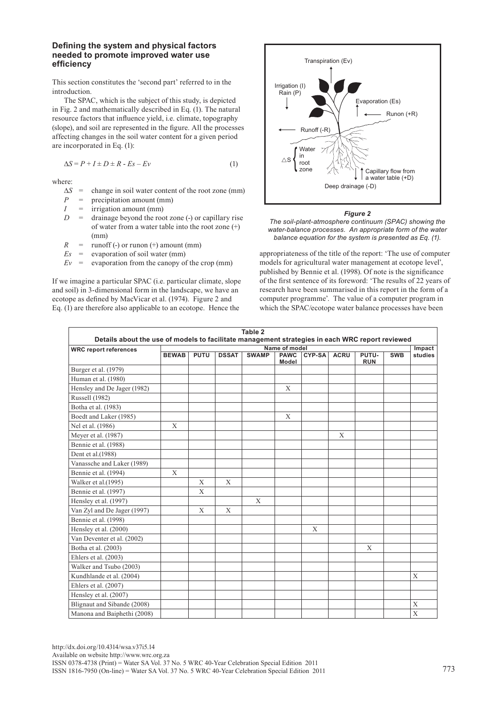### **Defining the system and physical factors needed to promote improved water use efficiency**

This section constitutes the 'second part' referred to in the introduction.

The SPAC, which is the subject of this study, is depicted in Fig. 2 and mathematically described in Eq. (1). The natural resource factors that influence yield, i.e. climate, topography (slope), and soil are represented in the figure. All the processes affecting changes in the soil water content for a given period are incorporated in Eq. (1):

$$
\Delta S = P + I \pm D \pm R - Es - Ev \tag{1}
$$

where:

- $\Delta S$  = change in soil water content of the root zone (mm)<br> $P$  = precipitation amount (mm)
- *P* = precipitation amount (mm)
- $I = irrigation amount (mm)$
- $D =$  drainage beyond the root zone (-) or capillary rise of water from a water table into the root zone (+) (mm)
- $R =$  runoff (-) or runon (+) amount (mm)
- *Es* = evaporation of soil water (mm)
- $Ev =$  evaporation from the canopy of the crop (mm)

If we imagine a particular SPAC (i.e. particular climate, slope and soil) in 3-dimensional form in the landscape, we have an ecotope as defined by MacVicar et al. (1974). Figure 2 and Eq. (1) are therefore also applicable to an ecotope. Hence the



*Figure 2*

*The soil-plant-atmosphere continuum (SPAC) showing the water-balance processes. An appropriate form of the water balance equation for the system is presented as Eq. (1).*

appropriateness of the title of the report: 'The use of computer models for agricultural water management at ecotope level', published by Bennie et al. (1998). Of note is the significance of the first sentence of its foreword: 'The results of 22 years of research have been summarised in this report in the form of a computer programme'. The value of a computer program in which the SPAC/ecotope water balance processes have been

| Table 2                      |              |                                                                                                                  |              |              |                      |        |              |                     |            |                   |  |  |
|------------------------------|--------------|------------------------------------------------------------------------------------------------------------------|--------------|--------------|----------------------|--------|--------------|---------------------|------------|-------------------|--|--|
|                              |              | Details about the use of models to facilitate management strategies in each WRC report reviewed<br>Name of model |              |              |                      |        |              |                     |            |                   |  |  |
| <b>WRC report references</b> | <b>BEWAB</b> | <b>PUTU</b>                                                                                                      | <b>DSSAT</b> | <b>SWAMP</b> | <b>PAWC</b><br>Model | CYP-SA | <b>ACRU</b>  | PUTU-<br><b>RUN</b> | <b>SWB</b> | Impact<br>studies |  |  |
| Burger et al. (1979)         |              |                                                                                                                  |              |              |                      |        |              |                     |            |                   |  |  |
| Human et al. (1980)          |              |                                                                                                                  |              |              |                      |        |              |                     |            |                   |  |  |
| Hensley and De Jager (1982)  |              |                                                                                                                  |              |              | X                    |        |              |                     |            |                   |  |  |
| <b>Russell</b> (1982)        |              |                                                                                                                  |              |              |                      |        |              |                     |            |                   |  |  |
| Botha et al. (1983)          |              |                                                                                                                  |              |              |                      |        |              |                     |            |                   |  |  |
| Boedt and Laker (1985)       |              |                                                                                                                  |              |              | X                    |        |              |                     |            |                   |  |  |
| Nel et al. (1986)            | X            |                                                                                                                  |              |              |                      |        |              |                     |            |                   |  |  |
| Meyer et al. (1987)          |              |                                                                                                                  |              |              |                      |        | $\mathbf{X}$ |                     |            |                   |  |  |
| Bennie et al. (1988)         |              |                                                                                                                  |              |              |                      |        |              |                     |            |                   |  |  |
| Dent et al.(1988)            |              |                                                                                                                  |              |              |                      |        |              |                     |            |                   |  |  |
| Vanassche and Laker (1989)   |              |                                                                                                                  |              |              |                      |        |              |                     |            |                   |  |  |
| Bennie et al. (1994)         | X            |                                                                                                                  |              |              |                      |        |              |                     |            |                   |  |  |
| Walker et al.(1995)          |              | X                                                                                                                | X            |              |                      |        |              |                     |            |                   |  |  |
| Bennie et al. (1997)         |              | X                                                                                                                |              |              |                      |        |              |                     |            |                   |  |  |
| Hensley et al. (1997)        |              |                                                                                                                  |              | X            |                      |        |              |                     |            |                   |  |  |
| Van Zyl and De Jager (1997)  |              | $\mathbf{X}$                                                                                                     | X            |              |                      |        |              |                     |            |                   |  |  |
| Bennie et al. (1998)         |              |                                                                                                                  |              |              |                      |        |              |                     |            |                   |  |  |
| Hensley et al. (2000)        |              |                                                                                                                  |              |              |                      | X      |              |                     |            |                   |  |  |
| Van Deventer et al. (2002)   |              |                                                                                                                  |              |              |                      |        |              |                     |            |                   |  |  |
| Botha et al. (2003)          |              |                                                                                                                  |              |              |                      |        |              | X                   |            |                   |  |  |
| Ehlers et al. (2003)         |              |                                                                                                                  |              |              |                      |        |              |                     |            |                   |  |  |
| Walker and Tsubo (2003)      |              |                                                                                                                  |              |              |                      |        |              |                     |            |                   |  |  |
| Kundhlande et al. (2004)     |              |                                                                                                                  |              |              |                      |        |              |                     |            | X                 |  |  |
| Ehlers et al. (2007)         |              |                                                                                                                  |              |              |                      |        |              |                     |            |                   |  |  |
| Hensley et al. (2007)        |              |                                                                                                                  |              |              |                      |        |              |                     |            |                   |  |  |
| Blignaut and Sibande (2008)  |              |                                                                                                                  |              |              |                      |        |              |                     |            | X                 |  |  |
| Manona and Baiphethi (2008)  |              |                                                                                                                  |              |              |                      |        |              |                     |            | X                 |  |  |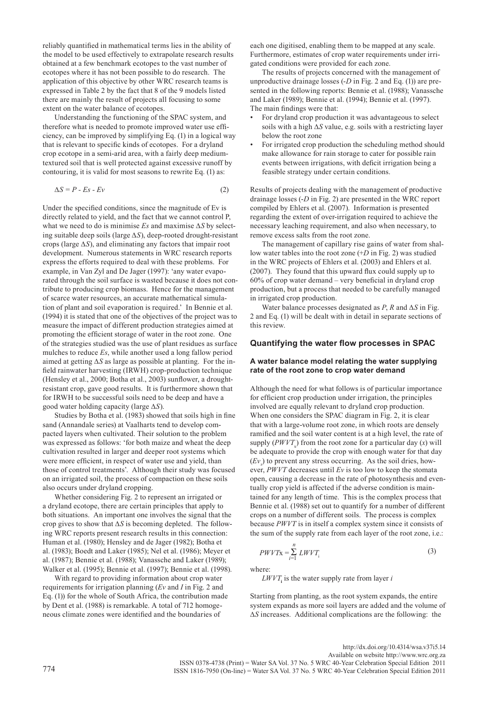reliably quantified in mathematical terms lies in the ability of the model to be used effectively to extrapolate research results obtained at a few benchmark ecotopes to the vast number of ecotopes where it has not been possible to do research. The application of this objective by other WRC research teams is expressed in Table 2 by the fact that 8 of the 9 models listed there are mainly the result of projects all focusing to some extent on the water balance of ecotopes.

Understanding the functioning of the SPAC system, and therefore what is needed to promote improved water use efficiency, can be improved by simplifying Eq. (1) in a logical way that is relevant to specific kinds of ecotopes. For a dryland crop ecotope in a semi-arid area, with a fairly deep mediumtextured soil that is well protected against excessive runoff by contouring, it is valid for most seasons to rewrite Eq. (1) as:

$$
\Delta S = P - Es - Ev \tag{2}
$$

Under the specified conditions, since the magnitude of Ev is directly related to yield, and the fact that we cannot control P, what we need to do is minimise *Es* and maximise ∆*S* by selecting suitable deep soils (large *∆S*), deep-rooted drought-resistant crops (large ∆*S*), and eliminating any factors that impair root development. Numerous statements in WRC research reports express the efforts required to deal with these problems. For example, in Van Zyl and De Jager (1997): 'any water evaporated through the soil surface is wasted because it does not contribute to producing crop biomass. Hence for the management of scarce water resources, an accurate mathematical simulation of plant and soil evaporation is required.' In Bennie et al. (1994) it is stated that one of the objectives of the project was to measure the impact of different production strategies aimed at promoting the efficient storage of water in the root zone. One of the strategies studied was the use of plant residues as surface mulches to reduce *Es*, while another used a long fallow period aimed at getting ∆*S* as large as possible at planting. For the infield rainwater harvesting (IRWH) crop-production technique (Hensley et al., 2000; Botha et al., 2003) sunflower, a droughtresistant crop, gave good results. It is furthermore shown that for IRWH to be successful soils need to be deep and have a good water holding capacity (large ∆*S*).

Studies by Botha et al. (1983) showed that soils high in fine sand (Annandale series) at Vaalharts tend to develop compacted layers when cultivated. Their solution to the problem was expressed as follows: 'for both maize and wheat the deep cultivation resulted in larger and deeper root systems which were more efficient, in respect of water use and yield, than those of control treatments'. Although their study was focused on an irrigated soil, the process of compaction on these soils also occurs under dryland cropping.

Whether considering Fig. 2 to represent an irrigated or a dryland ecotope, there are certain principles that apply to both situations. An important one involves the signal that the crop gives to show that ∆*S* is becoming depleted. The following WRC reports present research results in this connection: Human et al. (1980); Hensley and de Jager (1982); Botha et al. (1983); Boedt and Laker (1985); Nel et al. (1986); Meyer et al. (1987); Bennie et al. (1988); Vanassche and Laker (1989); Walker et al. (1995); Bennie et al. (1997); Bennie et al. (1998).

With regard to providing information about crop water requirements for irrigation planning (*Ev* and *I* in Fig. 2 and Eq. (1)) for the whole of South Africa, the contribution made by Dent et al. (1988) is remarkable. A total of 712 homogeneous climate zones were identified and the boundaries of

each one digitised, enabling them to be mapped at any scale. Furthermore, estimates of crop water requirements under irrigated conditions were provided for each zone.

The results of projects concerned with the management of unproductive drainage losses (-*D* in Fig. 2 and Eq. (1)) are presented in the following reports: Bennie et al. (1988); Vanassche and Laker (1989); Bennie et al. (1994); Bennie et al. (1997). The main findings were that:

- For dryland crop production it was advantageous to select soils with a high ∆*S* value, e.g. soils with a restricting layer below the root zone
- For irrigated crop production the scheduling method should make allowance for rain storage to cater for possible rain events between irrigations, with deficit irrigation being a feasible strategy under certain conditions.

Results of projects dealing with the management of productive drainage losses (-*D* in Fig. 2) are presented in the WRC report compiled by Ehlers et al. (2007). Information is presented regarding the extent of over-irrigation required to achieve the necessary leaching requirement, and also when necessary, to remove excess salts from the root zone.

The management of capillary rise gains of water from shallow water tables into the root zone (+*D* in Fig. 2) was studied in the WRC projects of Ehlers et al. (2003) and Ehlers et al. (2007). They found that this upward flux could supply up to 60% of crop water demand – very beneficial in dryland crop production, but a process that needed to be carefully managed in irrigated crop production.

Water balance processes designated as *P*, *R* and ∆*S* in Fig. 2 and Eq. (1) will be dealt with in detail in separate sections of this review.

## **Quantifying the water flow processes in SPAC**

### **A water balance model relating the water supplying rate of the root zone to crop water demand**

Although the need for what follows is of particular importance for efficient crop production under irrigation, the principles involved are equally relevant to dryland crop production. When one considers the SPAC diagram in Fig. 2, it is clear that with a large-volume root zone, in which roots are densely ramified and the soil water content is at a high level, the rate of supply  $(PWVT_x)$  from the root zone for a particular day  $(x)$  will be adequate to provide the crop with enough water for that day  $(Ev<sub>x</sub>)$  to prevent any stress occurring. As the soil dries, however, *PWVT* decreases until *Ev* is too low to keep the stomata open, causing a decrease in the rate of photosynthesis and eventually crop yield is affected if the adverse condition is maintained for any length of time. This is the complex process that Bennie et al. (1988) set out to quantify for a number of different crops on a number of different soils. The process is complex because *PWVT* is in itself a complex system since it consists of the sum of the supply rate from each layer of the root zone, i.e.:

$$
PWVT_X = \sum_{i=1}^{n} LWVT_i
$$
 (3)

where:

*LWVT***<sup>i</sup>** is the water supply rate from layer *i*

Starting from planting, as the root system expands, the entire system expands as more soil layers are added and the volume of ∆*S* increases. Additional complications are the following: the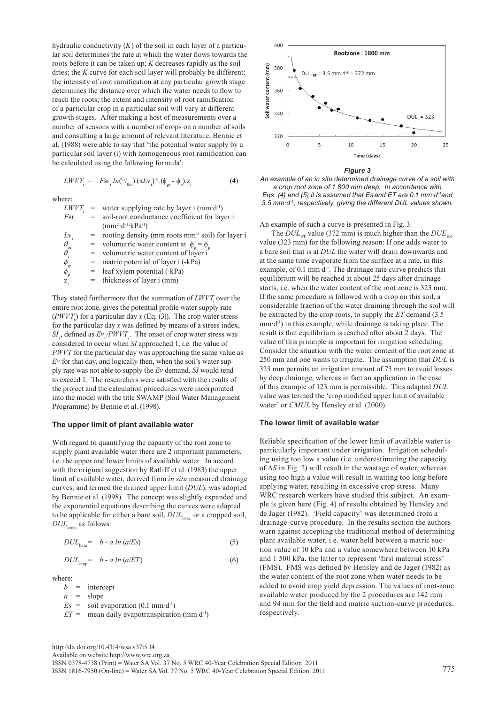hydraulic conductivity (*K*) of the soil in each layer of a particular soil determines the rate at which the water flows towards the roots before it can be taken up; *K* decreases rapidly as the soil dries; the *K* curve for each soil layer will probably be different; the intensity of root ramification at any particular growth stage determines the distance over which the water needs to flow to reach the roots; the extent and intensity of root ramification of a particular crop in a particular soil will vary at different growth stages. After making a host of measurements over a number of seasons with a number of crops on a number of soils and consulting a large amount of relevant literature, Bennie et al. (1988) were able to say that 'the potential water supply by a particular soil layer (i) with homogeneous root ramification can be calculated using the following formula':

$$
LWVT_i = Fsr_i.h( ^{\theta i} /_{\theta o i}).(\pi Lv_i)^{\frac{1}{2}}.(\phi_{gi} - \phi_p).z_i
$$
 (4)

where:

$$
LWVT_i = \text{water supplying rate by layer i (mm \cdot d^{-1})
$$
\n
$$
Fsr_i = \text{soil-root conductance coefficient for layer i}
$$
\n
$$
Lv_i = \text{rooting density (mm roots mm}^3 \text{ soil}) \text{ for layer i}
$$
\n
$$
\theta_{oi} = \text{volumetric water content at } \phi_g = \phi_p
$$
\n
$$
\theta_{oi} = \text{volumetric water content of layer i}
$$
\n
$$
\phi_{gi} = \text{matrix potential of layer i (-kPa)}
$$
\n
$$
\phi_p = \text{leaf xylem potential (-kPa)}
$$
\n
$$
z_i = \text{thickness of layer i (mm)}
$$

They stated furthermore that the summation of *LWVT*<sub>i</sub> over the entire root zone, gives the potential profile water supply rate  $(PWVT<sub>x</sub>)$  for a particular day *x* (Eq. (3)). The crop water stress for the particular day *x* was defined by means of a stress index,  $SI<sub>x</sub>$ , defined as  $Ev<sub>x</sub>/PWVT<sub>x</sub>$ . The onset of crop water stress was considered to occur when *SI* approached 1, i.e. the value of *PWVT* for the particular day was approaching the same value as *Ev* for that day, and logically then, when the soil's water supply rate was not able to supply the *Ev* demand, *SI* would tend to exceed 1. The researchers were satisfied with the results of the project and the calculation procedures were incorporated into the model with the title SWAMP (Soil Water Management Programme) by Bennie et al. (1998).

### **The upper limit of plant available water**

With regard to quantifying the capacity of the root zone to supply plant available water there are 2 important parameters, i.e. the upper and lower limits of available water. In accord with the original suggestion by Ratliff et al. (1983) the upper limit of available water, derived from *in situ* measured drainage curves, and termed the drained upper limit (*DUL*), was adopted by Bennie et al. (1998). The concept was slightly expanded and the exponential equations describing the curves were adapted to be applicable for either a bare soil,  $DUL<sub>bare</sub>$  or a cropped soil, *DUL*<sub>crop</sub> as follows:

$$
DUL_{\text{bare}} = b - a \ln (a/Es) \tag{5}
$$

$$
DUL_{\rm crop} = b - a \ln (a/ET) \tag{6}
$$

where:

 $b =$  intercept

 $a = slope$ 

 $Es =$  soil evaporation  $(0.1 \text{ mm} \cdot d^{-1})$ 

```
ET = mean daily evapotranspiration (mm·d<sup>-1</sup>)
```


#### *Figure 3*

*An example of an in situ determined drainage curve of a soil with a crop root zone of 1 800 mm deep. In accordance with Eqs. (4) and (5) it is assumed that Es and ET are 0.1 mm·d-1and 3.5 mm·d-1, respectively, giving the different DUL values shown.*

An example of such a curve is presented in Fig. 3.

The  $DUL_{\text{ter}}$  value (372 mm) is much higher than the  $DUE_{\text{ter}}$ value (323 mm) for the following reason: If one adds water to a bare soil that is at *DUL* the water will drain downwards and at the same time evaporate from the surface at a rate, in this example, of 0.1 mm·d<sup>-1</sup>. The drainage rate curve predicts that equilibrium will be reached at about 25 days after drainage starts, i.e. when the water content of the root zone is 323 mm. If the same procedure is followed with a crop on this soil, a considerable fraction of the water draining through the soil will be extracted by the crop roots, to supply the *ET* demand (3.5 mm·d-1) in this example, while drainage is taking place. The result is that equilibrium is reached after about 2 days. The value of this principle is important for irrigation scheduling. Consider the situation with the water content of the root zone at 250 mm and one wants to irrigate. The assumption that *DUL* is 323 mm permits an irrigation amount of 73 mm to avoid losses by deep drainage, whereas in fact an application in the case of this example of 123 mm is permissible. This adapted *DUL* value was termed the 'crop modified upper limit of available water' or *CMUL* by Hensley et al. (2000).

### **The lower limit of available water**

Reliable specification of the lower limit of available water is particularly important under irrigation. Irrigation scheduling using too low a value (i.e. underestimating the capacity of ∆*S* in Fig. 2) will result in the wastage of water, whereas using too high a value will result in waiting too long before applying water, resulting in excessive crop stress. Many WRC research workers have studied this subject. An example is given here (Fig. 4) of results obtained by Hensley and de Jager (1982). 'Field capacity' was determined from a drainage-curve procedure. In the results section the authors warn against accepting the traditional method of determining plant available water, i.e. water held between a matric suction value of 10 kPa and a value somewhere between 10 kPa and 1 500 kPa, the latter to represent 'first material stress' (FMS). FMS was defined by Hensley and de Jager (1982) as the water content of the root zone when water needs to be added to avoid crop yield depression. The values of root-zone available water produced by the 2 procedures are 142 mm and 94 mm for the field and matric suction-curve procedures, respectively.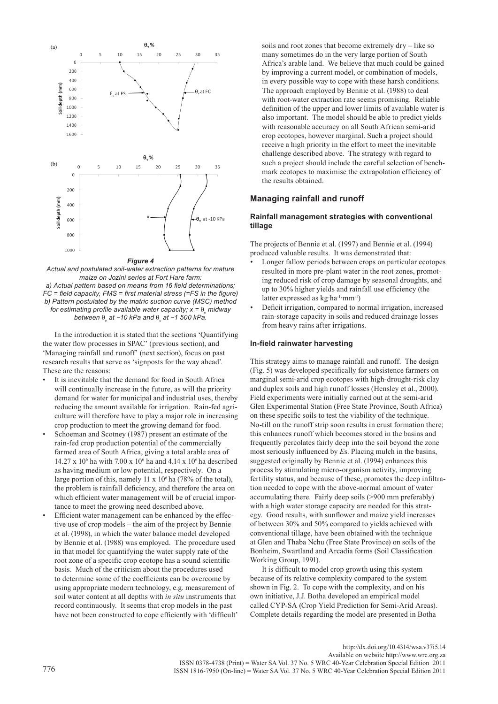

*Figure 4*

*Actual and postulated soil-water extraction patterns for mature maize on Jozini series at Fort Hare farm: a) Actual pattern based on means from 16 field determinations; FC = field capacity, FMS = first material stress (=FS in the figure) b) Pattern postulated by the matric suction curve (MSC) method for estimating profile available water capacity; x =* θ*<sup>v</sup> midway between* θ*<sup>v</sup> at −10 kPa and* θ*<sup>v</sup> at −1 500 kPa.*

In the introduction it is stated that the sections 'Quantifying the water flow processes in SPAC' (previous section), and 'Managing rainfall and runoff' (next section), focus on past research results that serve as 'signposts for the way ahead'. These are the reasons:

- It is inevitable that the demand for food in South Africa will continually increase in the future, as will the priority demand for water for municipal and industrial uses, thereby reducing the amount available for irrigation. Rain-fed agriculture will therefore have to play a major role in increasing crop production to meet the growing demand for food.
- Schoeman and Scotney (1987) present an estimate of the rain-fed crop production potential of the commercially farmed area of South Africa, giving a total arable area of 14.27 x 106 ha with 7.00 x 106 ha and 4.14 x 106 ha described as having medium or low potential, respectively. On a large portion of this, namely  $11 \times 10^6$  ha (78% of the total), the problem is rainfall deficiency, and therefore the area on which efficient water management will be of crucial importance to meet the growing need described above.
- Efficient water management can be enhanced by the effective use of crop models – the aim of the project by Bennie et al. (1998), in which the water balance model developed by Bennie et al. (1988) was employed. The procedure used in that model for quantifying the water supply rate of the root zone of a specific crop ecotope has a sound scientific basis. Much of the criticism about the procedures used to determine some of the coefficients can be overcome by using appropriate modern technology, e.g. measurement of soil water content at all depths with *in situ* instruments that record continuously. It seems that crop models in the past have not been constructed to cope efficiently with 'difficult'

soils and root zones that become extremely dry – like so many sometimes do in the very large portion of South Africa's arable land. We believe that much could be gained by improving a current model, or combination of models, in every possible way to cope with these harsh conditions. The approach employed by Bennie et al. (1988) to deal with root-water extraction rate seems promising. Reliable definition of the upper and lower limits of available water is also important. The model should be able to predict yields with reasonable accuracy on all South African semi-arid crop ecotopes, however marginal. Such a project should receive a high priority in the effort to meet the inevitable challenge described above. The strategy with regard to such a project should include the careful selection of benchmark ecotopes to maximise the extrapolation efficiency of the results obtained.

# **Managing rainfall and runoff**

## **Rainfall management strategies with conventional tillage**

The projects of Bennie et al. (1997) and Bennie et al. (1994) produced valuable results. It was demonstrated that:

- Longer fallow periods between crops on particular ecotopes resulted in more pre-plant water in the root zones, promoting reduced risk of crop damage by seasonal droughts, and up to 30% higher yields and rainfall use efficiency (the latter expressed as kg·ha-1·mm-1)
- Deficit irrigation, compared to normal irrigation, increased rain-storage capacity in soils and reduced drainage losses from heavy rains after irrigations.

### **In-field rainwater harvesting**

This strategy aims to manage rainfall and runoff. The design (Fig. 5) was developed specifically for subsistence farmers on marginal semi-arid crop ecotopes with high-drought-risk clay and duplex soils and high runoff losses (Hensley et al., 2000). Field experiments were initially carried out at the semi-arid Glen Experimental Station (Free State Province, South Africa) on these specific soils to test the viability of the technique. No-till on the runoff strip soon results in crust formation there; this enhances runoff which becomes stored in the basins and frequently percolates fairly deep into the soil beyond the zone most seriously influenced by *E*s. Placing mulch in the basins, suggested originally by Bennie et al. (1994) enhances this process by stimulating micro-organism activity, improving fertility status, and because of these, promotes the deep infiltration needed to cope with the above-normal amount of water accumulating there. Fairly deep soils (>900 mm preferably) with a high water storage capacity are needed for this strategy. Good results, with sunflower and maize yield increases of between 30% and 50% compared to yields achieved with conventional tillage, have been obtained with the technique at Glen and Thaba Nchu (Free State Province) on soils of the Bonheim, Swartland and Arcadia forms (Soil Classification Working Group, 1991).

It is difficult to model crop growth using this system because of its relative complexity compared to the system shown in Fig. 2. To cope with the complexity, and on his own initiative, J.J. Botha developed an empirical model called CYP-SA (Crop Yield Prediction for Semi-Arid Areas). Complete details regarding the model are presented in Botha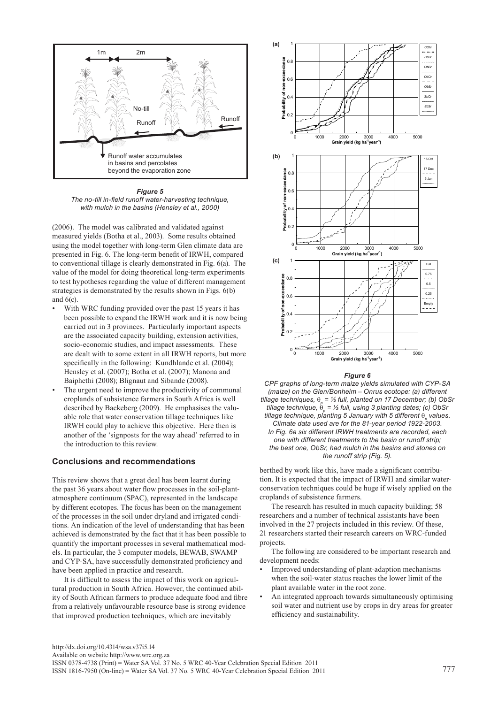

*Figure 5 The no-till in-field runoff water-harvesting technique, with mulch in the basins (Hensley et al., 2000)*

(2006). The model was calibrated and validated against measured yields (Botha et al., 2003). Some results obtained using the model together with long-term Glen climate data are presented in Fig. 6. The long-term benefit of IRWH, compared to conventional tillage is clearly demonstrated in Fig.  $6(a)$ . The value of the model for doing theoretical long-term experiments to test hypotheses regarding the value of different management strategies is demonstrated by the results shown in Figs. 6(b) and  $6(c)$ .

- With WRC funding provided over the past 15 years it has been possible to expand the IRWH work and it is now being carried out in 3 provinces. Particularly important aspects are the associated capacity building, extension activities, socio-economic studies, and impact assessments. These are dealt with to some extent in all IRWH reports, but more specifically in the following: Kundhlande et al.  $(2004)$ ; Hensley et al. (2007); Botha et al. (2007); Manona and Baiphethi (2008); Blignaut and Sibande (2008).
- The urgent need to improve the productivity of communal croplands of subsistence farmers in South Africa is well described by Backeberg (2009). He emphasises the valuable role that water conservation tillage techniques like IRWH could play to achieve this objective. Here then is another of the 'signposts for the way ahead' referred to in the introduction to this review.

# **Conclusions and recommendations**

This review shows that a great deal has been learnt during the past 36 years about water flow processes in the soil-plantatmosphere continuum (SPAC), represented in the landscape by different ecotopes. The focus has been on the management of the processes in the soil under dryland and irrigated conditions. An indication of the level of understanding that has been achieved is demonstrated by the fact that it has been possible to quantify the important processes in several mathematical models. In particular, the 3 computer models, BEWAB, SWAMP and CYP-SA, have successfully demonstrated proficiency and have been applied in practice and research.

It is difficult to assess the impact of this work on agricultural production in South Africa. However, the continued ability of South African farmers to produce adequate food and fibre from a relatively unfavourable resource base is strong evidence that improved production techniques, which are inevitably



#### *Figure 6*

*CPF graphs of long-term maize yields simulated with CYP-SA (maize) on the Glen/Bonheim – Onrus ecotope: (a) different tillage techniques,* θ*<sup>p</sup> = ½ full, planted on 17 December; (b) ObSr tillage technique,* θ*<sup>p</sup> = ½ full, using 3 planting dates; (c) ObSr tillage technique, planting 5 January with 5 different* θ*<sup>p</sup> values. Climate data used are for the 81-year period 1922-2003. In Fig. 6a six different IRWH treatments are recorded, each one with different treatments to the basin or runoff strip; the best one, ObSr, had mulch in the basins and stones on the runoff strip (Fig. 5).*

berthed by work like this, have made a significant contribution. It is expected that the impact of IRWH and similar waterconservation techniques could be huge if wisely applied on the croplands of subsistence farmers.

The research has resulted in much capacity building; 58 researchers and a number of technical assistants have been involved in the 27 projects included in this review. Of these, 21 researchers started their research careers on WRC-funded projects.

The following are considered to be important research and development needs:

- Improved understanding of plant-adaption mechanisms when the soil-water status reaches the lower limit of the plant available water in the root zone.
- An integrated approach towards simultaneously optimising soil water and nutrient use by crops in dry areas for greater efficiency and sustainability.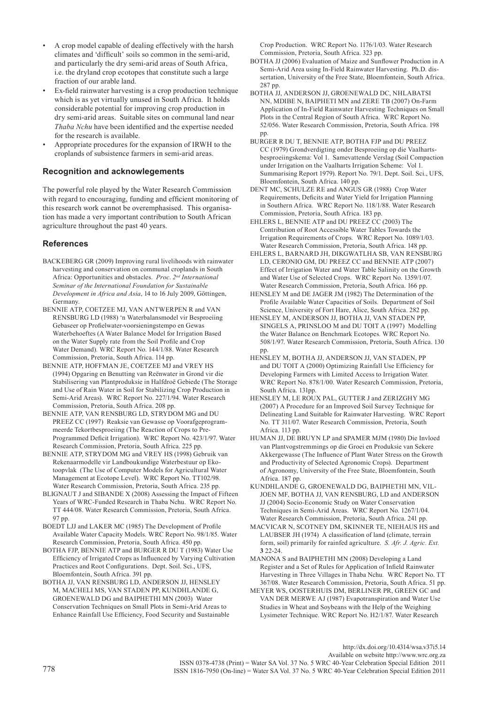- A crop model capable of dealing effectively with the harsh climates and 'difficult' soils so common in the semi-arid, and particularly the dry semi-arid areas of South Africa, i.e. the dryland crop ecotopes that constitute such a large fraction of our arable land.
- Ex-field rainwater harvesting is a crop production technique which is as yet virtually unused in South Africa. It holds considerable potential for improving crop production in dry semi-arid areas. Suitable sites on communal land near *Thaba Nchu* have been identified and the expertise needed for the research is available.
- Appropriate procedures for the expansion of IRWH to the croplands of subsistence farmers in semi-arid areas.

# **Recognition and acknowlegements**

The powerful role played by the Water Research Commission with regard to encouraging, funding and efficient monitoring of this research work cannot be overemphasised. This organisation has made a very important contribution to South African agriculture throughout the past 40 years.

# **References**

- BACKEBERG GR (2009) Improving rural livelihoods with rainwater harvesting and conservation on communal croplands in South Africa: Opportunities and obstacles. *Proc*. *2nd International Seminar of the International Foundation for Sustainable Development in Africa and Asia*, 14 to 16 July 2009, Göttingen, Germany.
- BENNIE ATP, COETZEE MJ, VAN ANTWERPEN R and VAN RENSBURG LD (1988) 'n Waterbalansmodel vir Besproeiing Gebaseer op Profielwater-voorsieningstempo en Gewas Waterbehoeftes (A Water Balance Model for Irrigation Based on the Water Supply rate from the Soil Profile and Crop Water Demand)*.* WRC Report No. 144/1/88. Water Research Commission, Pretoria, South Africa. 114 pp.
- BENNIE ATP, HOFFMAN JE, COETZEE MJ and VREY HS (1994) Opgaring en Benutting van Reënwater in Grond vir die Stabilisering van Plantproduksie in Halfdroë Gebiede (The Storage and Use of Rain Water in Soil for Stabilizing Crop Production in Semi-Arid Areas). WRC Report No. 227/1/94. Water Research Commission, Pretoria, South Africa. 208 pp.
- BENNIE ATP, VAN RENSBURG LD, STRYDOM MG and DU PREEZ CC (1997) Reaksie van Gewasse op Voorafgeprogrammeerde Tekortbesproeiing (The Reaction of Crops to Pre-Programmed Deficit Irrigation). WRC Report No. 423/1/97. Water Research Commission, Pretoria, South Africa. 225 pp.
- BENNIE ATP, STRYDOM MG and VREY HS (1998) Gebruik van Rekenaarmodelle vir Landboukundige Waterbestuur op Ekotoopvlak (The Use of Computer Models for Agricultural Water Management at Ecotope Level). WRC Report No. TT102/98. Water Research Commission, Pretoria, South Africa. 235 pp.
- BLIGNAUT J and SIBANDE X (2008) Assessing the Impact of Fifteen Years of WRC-Funded Research in Thaba Nchu. WRC Report No. TT 444/08. Water Research Commission, Pretoria, South Africa. 97 pp.
- BOEDT LJJ and LAKER MC (1985) The Development of Profile Available Water Capacity Models. WRC Report No. 98/1/85. Water Research Commission, Pretoria, South Africa. 450 pp.
- BOTHA FJP, BENNIE ATP and BURGER R DU T (1983) Water Use Efficiency of Irrigated Crops as Influenced by Varying Cultivation Practices and Root Configurations. Dept. Soil. Sci., UFS, Bloemfontein, South Africa. 391 pp.
- BOTHA JJ, VAN RENSBURG LD, ANDERSON JJ, HENSLEY M, MACHELI MS, VAN STADEN PP, KUNDHLANDE G, GROENEWALD DG and BAIPHETHI MN (2003) Water Conservation Techniques on Small Plots in Semi-Arid Areas to Enhance Rainfall Use Efficiency, Food Security and Sustainable

Crop Production. WRC Report No. 1176/1/03. Water Research Commission, Pretoria, South Africa. 323 pp.

- BOTHA JJ (2006) Evaluation of Maize and Sunflower Production in A Semi-Arid Area using In-Field Rainwater Harvesting. Ph.D. dissertation, University of the Free State, Bloemfontein, South Africa. 287 pp.
- BOTHA JJ, ANDERSON JJ, GROENEWALD DC, NHLABATSI NN, MDIBE N, BAIPHETI MN and ZERE TB (2007) On-Farm Application of In-Field Rainwater Harvesting Techniques on Small Plots in the Central Region of South Africa. WRC Report No. 52/056. Water Research Commission, Pretoria, South Africa. 198 pp.
- BURGER R DU T, BENNIE ATP, BOTHA FJP and DU PREEZ CC (1979) Grondverdigting onder Besproeiing op die Vaalhartsbesproeiingskema: Vol 1. Samevattende Verslag (Soil Compaction under Irrigation on the Vaalharts Irrigation Scheme: Vol 1. Summarising Report 1979). Report No. 79/1. Dept. Soil. Sci., UFS, Bloemfontein, South Africa. 140 pp.
- DENT MC, SCHULZE RE and ANGUS GR (1988) Crop Water Requirements, Deficits and Water Yield for Irrigation Planning in Southern Africa*.* WRC Report No. 118/1/88. Water Research Commission, Pretoria, South Africa. 183 pp.
- EHLERS L, BENNIE ATP and DU PREEZ CC (2003) The Contribution of Root Accessible Water Tables Towards the Irrigation Requirements of Crops*.* WRC Report No. 1089/1/03. Water Research Commission, Pretoria, South Africa. 148 pp.
- EHLERS L, BARNARD JH, DIKGWATLHA SB, VAN RENSBURG LD, CERONIO GM, DU PREEZ CC and BENNIE ATP (2007) Effect of Irrigation Water and Water Table Salinity on the Growth and Water Use of Selected Crops. WRC Report No. 1359/1/07. Water Research Commission, Pretoria, South Africa. 166 pp.
- HENSLEY M and DE JAGER JM (1982) The Determination of the Profile Available Water Capacities of Soils. Department of Soil Science, University of Fort Hare, Alice, South Africa. 282 pp.
- HENSLEY M, ANDERSON JJ, BOTHA JJ, VAN STADEN PP, SINGELS A, PRINSLOO M and DU TOIT A (1997) Modelling the Water Balance on Benchmark Ecotopes*.* WRC Report No. 508/1/97. Water Research Commission, Pretoria, South Africa. 130 pp.
- HENSLEY M, BOTHA JJ, ANDERSON JJ, VAN STADEN, PP and DU TOIT A (2000) Optimizing Rainfall Use Efficiency for Developing Farmers with Limited Access to Irrigation Water*.* WRC Report No. 878/1/00. Water Research Commission, Pretoria, South Africa. 131pp.
- HENSLEY M, LE ROUX PAL, GUTTER J and ZERIZGHY MG (2007) A Procedure for an Improved Soil Survey Technique for Delineating Land Suitable for Rainwater Harvesting. WRC Report No. TT 311/07. Water Research Commission, Pretoria, South Africa. 113 pp.
- HUMAN JJ, DE BRUYN LP and SPAMER MJM (1980) Die Invloed van Plantvogstremmings op die Groei en Produksie van Sekere Akkergewasse (The Influence of Plant Water Stress on the Growth and Productivity of Selected Agronomic Crops). Department of Agronomy, University of the Free State, Bloemfontein, South Africa. 187 pp.
- KUNDHLANDE G, GROENEWALD DG, BAIPHETHI MN, VIL-JOEN MF, BOTHA JJ, VAN RENSBURG, LD and ANDERSON JJ (2004) Socio-Economic Study on Water Conservation Techniques in Semi-Arid Areas. WRC Report No. 1267/1/04. Water Research Commission, Pretoria, South Africa. 241 pp.
- MACVICAR N, SCOTNEY DM, SKINNER TE, NIEHAUS HS and LAUBSER JH (1974) A classification of land (climate, terrain form, soil) primarily for rainfed agriculture. *S. Afr. J. Agric. Ext.*  **3** 22-24.
- MANONA S and BAIPHETHI MN (2008) Developing a Land Register and a Set of Rules for Application of Infield Rainwater Harvesting in Three Villages in Thaba Nchu*.* WRC Report No. TT 367/08. Water Research Commission, Pretoria, South Africa. 51 pp.
- MEYER WS, OOSTERHUIS DM, BERLINER PR, GREEN GC and VAN DER MERWE AJ (1987) Evapotranspiration and Water Use Studies in Wheat and Soybeans with the Help of the Weighing Lysimeter Technique. WRC Report No. H2/1/87. Water Research